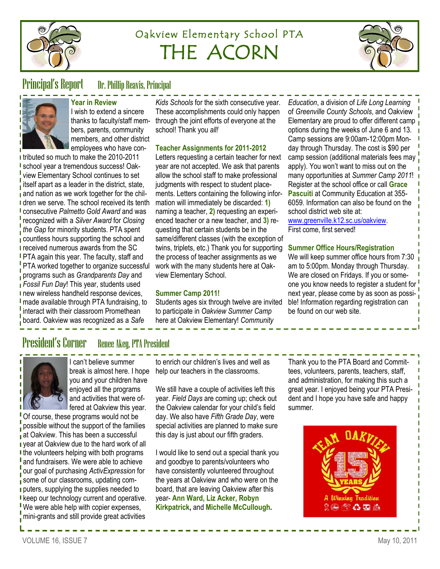

# Oakview Elementary School PTA THE ACORN



## Principal's Report Dr. Phillip Reavis, Principal

#### **Year in Review** I wish to extend a sincere

thanks to faculty/staff members, parents, community members, and other district employees who have con-

I tributed so much to make the 2010-2011 school year a tremendous success! Oakview Elementary School continues to set itself apart as a leader in the district, state, and nation as we work together for the chil-**I** dren we serve. The school received its tenth consecutive *Palmetto Gold Award* and was recognized with a *Silver Award* for *Closing the Gap* for minority students. PTA spent countless hours supporting the school and **received numerous awards from the SC PTA again this year. The faculty, staff and** PTA worked together to organize successful programs such as *Grandparents Day* and *Fossil Fun Day*! This year, students used **new wireless handheld response devices, I** made available through PTA fundraising, to interact with their classroom Promethean board. Oakview was recognized as a *Safe* 

*Kids Schools* for the sixth consecutive year. These accomplishments could only happen through the joint efforts of everyone at the school! Thank you *all!*

### **Teacher Assignments for 2011-2012**

Letters requesting a certain teacher for next year are not accepted. We ask that parents allow the school staff to make professional judgments with respect to student placements. Letters containing the following information will immediately be discarded: **1)**  naming a teacher, **2)** requesting an experienced teacher or a new teacher, and **3)** requesting that certain students be in the same/different classes (with the exception of twins, triplets, etc.) Thank you for supporting the process of teacher assignments as we work with the many students here at Oakview Elementary School.

### **Summer Camp 2011!**

Students ages six through twelve are invited to participate in *Oakview Summer Camp*  here at Oakview Elementary! *Community* 

*Education*, a division of *Life Long Learning*  of *Greenville County Schools*, and Oakview Elementary are proud to offer different camp  $\frac{1}{1}$ options during the weeks of June 6 and 13. Camp sessions are 9:00am-12:00pm Monday through Thursday. The cost is \$90 per camp session (additional materials fees may apply). You won't want to miss out on the many opportunities at *Summer Camp 2011*! Register at the school office or call **Grace Pascuiti** at Community Education at 355- 6059. Information can also be found on the school district web site at: [www.greenville.k12.sc.us/oakview.](http://www.greenville.k12.sc.us/oakview)

First come, first served!

### **Summer Office Hours/Registration**

We will keep summer office hours from 7:30 am to 5:00pm. Monday through Thursday. We are closed on Fridays. If you or someone you know needs to register a student for next year, please come by as soon as possible! Information regarding registration can be found on our web site.

## President's Corner Renee Akey, PTA President



I can't believe summer break is almost here. I hope you and your children have enjoyed all the programs and activities that were offered at Oakview this year.

<sup>I</sup> Of course, these programs would not be possible without the support of the families at Oakview. This has been a successful **vear at Oakview due to the hard work of all** I the volunteers helping with both programs and fundraisers. We were able to achieve our goal of purchasing *ActivExpression* for some of our classrooms, updating computers, supplying the supplies needed to **I** keep our technology current and operative. We were able help with copier expenses, mini-grants and still provide great activities

to enrich our children's lives and well as help our teachers in the classrooms.

We still have a couple of activities left this year. *Field Days* are coming up; check out the Oakview calendar for your child's field day. We also have *Fifth Grade Day*, were special activities are planned to make sure this day is just about our fifth graders.

I would like to send out a special thank you and goodbye to parents/volunteers who have consistently volunteered throughout the years at Oakview and who were on the board, that are leaving Oakview after this year- **Ann Ward, Liz Acker, Robyn Kirkpatrick,** and **Michelle McCullough.**

Thank you to the PTA Board and Committees, volunteers, parents, teachers, staff, and administration, for making this such a great year. I enjoyed being your PTA President and I hope you have safe and happy summer.

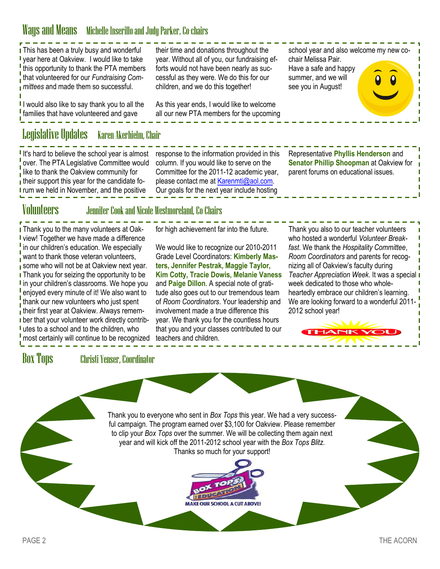## Ways and Means Michelle Inserillo and Judy Parker, Co-chairs

I This has been a truly busy and wonderful year here at Oakview. I would like to take I this opportunity to thank the PTA members that volunteered for our *Fundraising Committees* and made them so successful.

I would also like to say thank you to all the families that have volunteered and gave

## Legislative Updates Karen Akerhielm, Chair

If's hard to believe the school year is almost over. The PTA Legislative Committee would like to thank the Oakview community for **their support this year for the candidate fo-I** rum we held in November, and the positive

their time and donations throughout the year. Without all of you, our fundraising efforts would not have been nearly as successful as they were. We do this for our children, and we do this together!

As this year ends, I would like to welcome all our new PTA members for the upcoming

response to the information provided in this column. If you would like to serve on the Committee for the 2011-12 academic year, please contact me at [Karenmti@aol.com.](mailto:Karenmti@aol.com) Our goals for the next year include hosting

school year and also welcome my new cochair Melissa Pair. Have a safe and happy summer, and we will see you in August!

Representative **Phyllis Henderson** and **Senator Phillip Shoopman** at Oakview for parent forums on educational issues.

### Volunteers Jennifer Cook and Nicole Westmoreland, Co-Chairs

**I** Thank you to the many volunteers at Oak-**I** view! Together we have made a difference  $\frac{I}{I}$  in our children's education. We especially want to thank those veteran volunteers. some who will not be at Oakview next year. **I** Thank you for seizing the opportunity to be I in your children's classrooms. We hope you enjoyed every minute of it! We also want to thank our new volunteers who just spent **their first year at Oakview. Always remem**ber that your volunteer work directly contrib-I utes to a school and to the children, who most certainly will continue to be recognized

for high achievement far into the future.

We would like to recognize our 2010-2011 Grade Level Coordinators: **Kimberly Masters, Jennifer Pestrak, Maggie Taylor, Kim Cotty, Tracie Dowis, Melanie Vaness**  and **Paige Dillon**. A special note of gratitude also goes out to our tremendous team of *Room Coordinators*. Your leadership and involvement made a true difference this year. We thank you for the countless hours that you and your classes contributed to our teachers and children.

Thank you also to our teacher volunteers who hosted a wonderful *Volunteer Breakfast*. We thank the *Hospitality Committee*, *Room Coordinators* and parents for recognizing all of Oakview's faculty during *Teacher Appreciation Week*. It was a special week dedicated to those who wholeheartedly embrace our children's learning. We are looking forward to a wonderful 2011- 2012 school year!

Box Tops Christi Yenser, Coordinator

Thank you to everyone who sent in *Box Tops* this year. We had a very successful campaign. The program earned over \$3,100 for Oakview. Please remember to clip your *Box Tops* over the summer. We will be collecting them again next year and will kick off the 2011-2012 school year with the *Box Tops Blitz*. Thanks so much for your support!